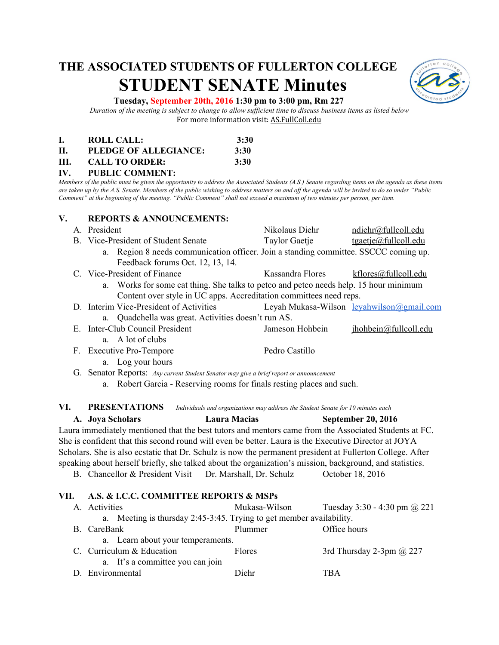# **THE ASSOCIATED STUDENTS OF FULLERTON COLLEGE STUDENT SENATE Minutes**



### **Tuesday, September 20th, 2016 1:30 pm to 3:00 pm, Rm 227**

*Duration of the meeting is subject to change to allow sufficient time to discuss business items as listed below* For more information visit: AS.FullColl.edu

|      | ROLL CALL:            | 3:30 |
|------|-----------------------|------|
| H.   | PLEDGE OF ALLEGIANCE: | 3:30 |
| III. | <b>CALL TO ORDER:</b> | 3:30 |

### **IV. PUBLIC COMMENT:**

*Members of the public must be given the opportunity to address the Associated Students (A.S.) Senate regarding items on the agenda as these items are taken up by the A.S. Senate. Members of the public wishing to address matters on and off the agenda will be invited to do so under "Public Comment" at the beginning of the meeting. "Public Comment" shall not exceed a maximum of two minutes per person, per item.*

#### **V. REPORTS & ANNOUNCEMENTS:**

|                                                                    | A. President                                                                          | Nikolaus Diehr   | ndiehr@fullcoll.edu                              |
|--------------------------------------------------------------------|---------------------------------------------------------------------------------------|------------------|--------------------------------------------------|
|                                                                    | B. Vice-President of Student Senate                                                   | Taylor Gaetje    | $t$ gaetje@fullcoll.edu                          |
|                                                                    | a. Region 8 needs communication officer. Join a standing committee. SSCCC coming up.  |                  |                                                  |
|                                                                    | Feedback forums Oct. 12, 13, 14.                                                      |                  |                                                  |
|                                                                    | C. Vice-President of Finance                                                          | Kassandra Flores | kflores@fullcoll.edu                             |
|                                                                    | a. Works for some cat thing. She talks to petco and petco needs help. 15 hour minimum |                  |                                                  |
| Content over style in UC apps. Accreditation committees need reps. |                                                                                       |                  |                                                  |
|                                                                    | D. Interim Vice-President of Activities                                               |                  | Leyah Mukasa-Wilson <u>leyahwilson@gmail.com</u> |
| a. Quadchella was great. Activities doesn't run AS.                |                                                                                       |                  |                                                  |
|                                                                    | E. Inter-Club Council President                                                       | Jameson Hohbein  | jhohbein@fullcoll.edu                            |
|                                                                    | a. A lot of clubs                                                                     |                  |                                                  |
| F.                                                                 | <b>Executive Pro-Tempore</b>                                                          | Pedro Castillo   |                                                  |
|                                                                    | Log your hours<br>a.                                                                  |                  |                                                  |

G. Senator Reports: *Any current Student Senator may give a brief report or announcement*

a. Robert Garcia - Reserving rooms for finals resting places and such.

**VI. PRESENTATIONS** *Individuals and organizations may address the Student Senate for 10 minutes each*

**A. Joya Scholars Laura Macias September 20, 2016** Laura immediately mentioned that the best tutors and mentors came from the Associated Students at FC. She is confident that this second round will even be better. Laura is the Executive Director at JOYA Scholars. She is also ecstatic that Dr. Schulz is now the permanent president at Fullerton College. After speaking about herself briefly, she talked about the organization's mission, background, and statistics.

B. Chancellor & President Visit Dr. Marshall, Dr. Schulz October 18, 2016

## **VII. A.S. & I.C.C. COMMITTEE REPORTS & MSPs**

|                                                                      | A. Activities                     | Mukasa-Wilson | Tuesday 3:30 - 4:30 pm $(a)$ 221 |  |
|----------------------------------------------------------------------|-----------------------------------|---------------|----------------------------------|--|
| a. Meeting is thursday 2:45-3:45. Trying to get member availability. |                                   |               |                                  |  |
|                                                                      | B. CareBank                       | Plummer       | Office hours                     |  |
|                                                                      | a. Learn about your temperaments. |               |                                  |  |
|                                                                      | C. Curriculum & Education         | <b>Flores</b> | 3rd Thursday 2-3pm $\omega$ 227  |  |
|                                                                      | a. It's a committee you can join  |               |                                  |  |
|                                                                      | D. Environmental                  | Diehr         | TBA                              |  |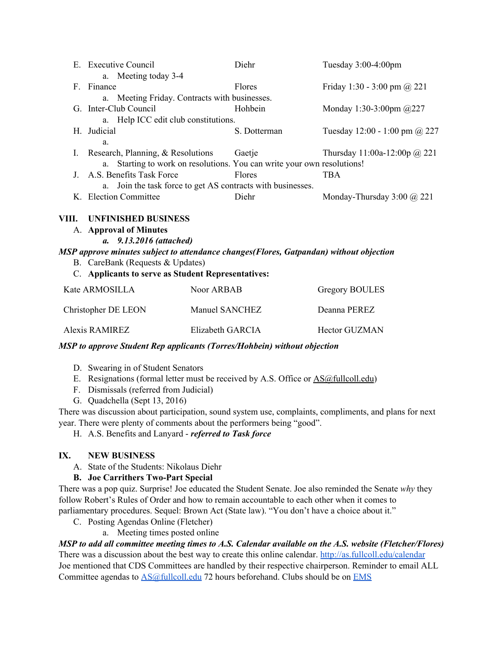|                                                                                        | E. Executive Council                                                       | Diehr        | Tuesday $3:00-4:00$ pm                 |
|----------------------------------------------------------------------------------------|----------------------------------------------------------------------------|--------------|----------------------------------------|
|                                                                                        | a. Meeting today 3-4                                                       |              |                                        |
|                                                                                        | F. Finance                                                                 | Flores       | Friday 1:30 - 3:00 pm @ 221            |
|                                                                                        | a. Meeting Friday. Contracts with businesses.                              |              |                                        |
|                                                                                        | G. Inter-Club Council                                                      | Hohbein      | Monday 1:30-3:00pm $@227$              |
|                                                                                        | a. Help ICC edit club constitutions.                                       |              |                                        |
|                                                                                        | H. Judicial                                                                | S. Dotterman | Tuesday $12:00 - 1:00$ pm $\omega$ 227 |
|                                                                                        | a.                                                                         |              |                                        |
|                                                                                        | Research, Planning, & Resolutions                                          | Gaetje       | Thursday 11:00a-12:00p @ 221           |
|                                                                                        | Starting to work on resolutions. You can write your own resolutions!<br>a. |              |                                        |
|                                                                                        | J. A.S. Benefits Task Force                                                | Flores       | <b>TBA</b>                             |
|                                                                                        | a. Join the task force to get AS contracts with businesses.                |              |                                        |
|                                                                                        | K. Election Committee                                                      | Diehr        | Monday-Thursday 3:00 @ 221             |
| VIII.                                                                                  | <b>UNFINISHED BUSINESS</b>                                                 |              |                                        |
|                                                                                        | A. Approval of Minutes                                                     |              |                                        |
|                                                                                        | a. 9.13.2016 (attached)                                                    |              |                                        |
| MSP approve minutes subject to attendance changes(Flores, Gatpandan) without objection |                                                                            |              |                                        |
|                                                                                        | B. CareBank (Requests & Updates)                                           |              |                                        |

C. **Applicants to serve as Student Representatives:**

| Kate ARMOSILLA      | Noor ARBAB       | <b>Gregory BOULES</b> |
|---------------------|------------------|-----------------------|
| Christopher DE LEON | Manuel SANCHEZ   | Deanna PEREZ          |
| Alexis RAMIREZ      | Elizabeth GARCIA | <b>Hector GUZMAN</b>  |

# *MSP to approve Student Rep applicants (Torres/Hohbein) without objection*

- D. Swearing in of Student Senators
- E. Resignations (formal letter must be received by A.S. Office or  $\triangle S(\hat{a}$  fullcoll.edu)
- F. Dismissals (referred from Judicial)
- G. Quadchella (Sept 13, 2016)

There was discussion about participation, sound system use, complaints, compliments, and plans for next year. There were plenty of comments about the performers being "good".

H. A.S. Benefits and Lanyard *referred to Task force*

# **IX. NEW BUSINESS**

A. State of the Students: Nikolaus Diehr

# **B.** Joe Carrithers Two-Part Special

There was a pop quiz. Surprise! Joe educated the Student Senate. Joe also reminded the Senate *why* they follow Robert's Rules of Order and how to remain accountable to each other when it comes to parliamentary procedures. Sequel: Brown Act (State law). "You don't have a choice about it."

- C. Posting Agendas Online (Fletcher)
	- a. Meeting times posted online

# *MSP to add all committee meeting times to A.S. Calendar available on the A.S. website (Fletcher/Flores)*

There was a discussion about the best way to create this online calendar.<http://as.fullcoll.edu/calendar> Joe mentioned that CDS Committees are handled by their respective chairperson. Reminder to email ALL Committee agendas to  $\triangle S@full$ coll.edu 72 hours beforehand. Clubs should be on [EMS](http://event.nocccd.edu/VirtualEMSCampus_FC/CustomBrowseEvents.aspx?data=nH6RMfQ4q5hGbhElvQ4%2fZnjH7qGuK4eOrzlAYxbgFZv4bXCGvcqstWyu6eICTsUWq8pe6xSuM1A%3d)